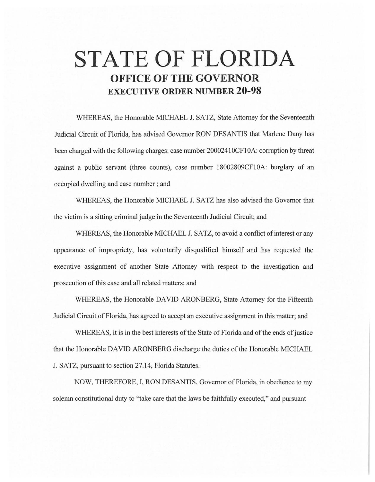# **STATE OF FLORIDA OFFICE OF THE GOVERNOR EXECUTIVE ORDER NUMBER 20-98**

WHEREAS, the Honorable MICHAEL J. SATZ, State Attorney for the Seventeenth Judicial Circuit of Florida, has advised Governor RON DESANTIS that Marlene Dany has been charged with the following charges: case number 20002410CF10A: corruption by threat against a public servant (three counts), case number 18002809CF10A: burglary of an occupied dwelling and case number ; and

WHEREAS, the Honorable MICHAEL J. SATZ has also advised the Governor that the victim is a sitting criminal judge in the Seventeenth Judicial Circuit; and

WHEREAS, the Honorable MICHAEL J. SATZ, to avoid a conflict of interest or any appearance of impropriety, has voluntarily disqualified himself and has requested the executive assignment of another State Attorney with respect to the investigation and prosecution of this case and all related matters; and

WHEREAS, the Honorable DAVID ARONBERG, State Attorney for the Fifteenth Judicial Circuit of Florida, has agreed to accept an executive assignment in this matter; and

WHEREAS, it is in the best interests of the State of Florida and of the ends of justice that the Honorable DA YID ARONBERG discharge the duties of the Honorable MICHAEL J. SATZ, pursuant to section 27.14, Florida Statutes.

NOW, THEREFORE, I, RON DESANTIS, Governor of Florida, in obedience to my solemn constitutional duty to "take care that the laws be faithfully executed," and pursuant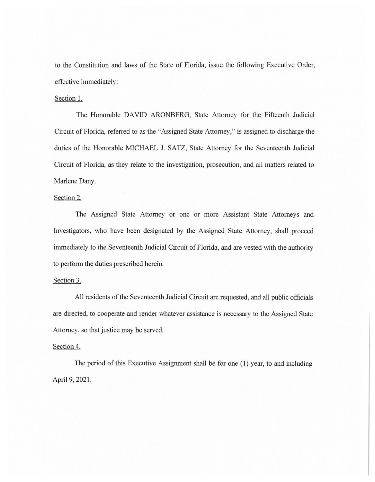to the Constitution and laws of the State of Florida, issue the following Executive Order, effective immediately:

## Section 1.

The Honorable DAVID ARONBERG, State Attorney for the Fifteenth Judicial Circuit of Florida, referred to as the "Assigned State Attorney," is assigned to discharge the duties of the Honorable MICHAEL J. SATZ, State Attorney for the Seventeenth Judicial Circuit of Florida, as they relate to the investigation, prosecution, and all matters related to Marlene Dany.

### Section 2.

The Assigned State Attorney or one or more Assistant State Attorneys and Investigators, who have been designated by the Assigned State Attorney, shall proceed immediately to the Seventeenth Judicial Circuit of Florida, and are vested with the authority to perform the duties prescribed herein.

#### Section 3.

All residents of the Seventeenth Judicial Circuit are requested, and all public officials are directed, to cooperate and render whatever assistance is necessary to the Assigned State Attorney, so that justice may be served.

#### Section 4.

The period of this Executive Assignment shall be for one (1) year, to and including April 9, 2021.